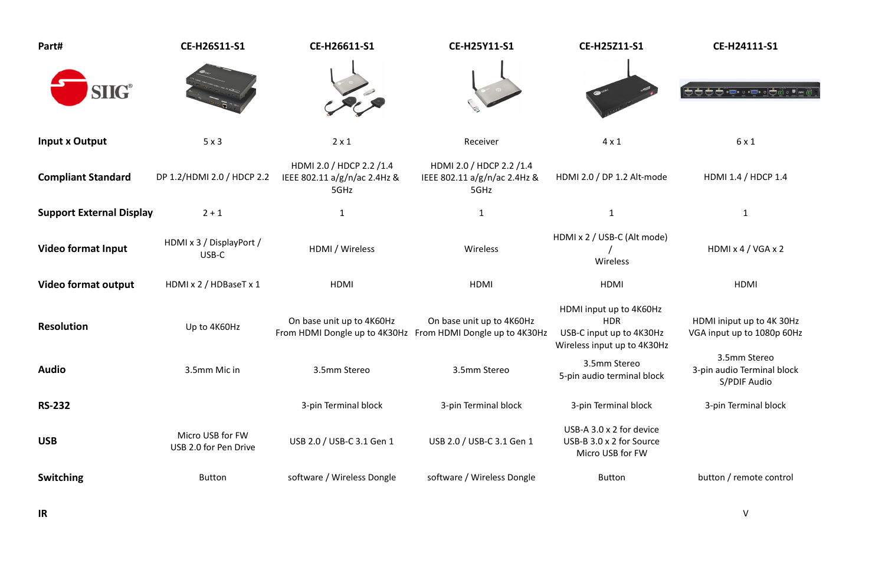| Part#                                        | <b>CE-H26S11-S1</b>                       | CE-H26611-S1                                                     | <b>CE-H25Y11-S1</b>                                                                      | CE-H25Z11-S1                                                                                     | CE-H24111-S1                                               |
|----------------------------------------------|-------------------------------------------|------------------------------------------------------------------|------------------------------------------------------------------------------------------|--------------------------------------------------------------------------------------------------|------------------------------------------------------------|
| $\mathbf{S}\mathbf{I}\mathbf{I}\mathbf{G}^*$ |                                           |                                                                  |                                                                                          |                                                                                                  |                                                            |
| <b>Input x Output</b>                        | 5x3                                       | $2 \times 1$                                                     | Receiver                                                                                 | $4 \times 1$                                                                                     | $6 \times 1$                                               |
| <b>Compliant Standard</b>                    | DP 1.2/HDMI 2.0 / HDCP 2.2                | HDMI 2.0 / HDCP 2.2 /1.4<br>IEEE 802.11 a/g/n/ac 2.4Hz &<br>5GHz | HDMI 2.0 / HDCP 2.2 /1.4<br>IEEE 802.11 a/g/n/ac 2.4Hz &<br>5GHz                         | HDMI 2.0 / DP 1.2 Alt-mode                                                                       | HDMI 1.4 / HDCP 1.4                                        |
| <b>Support External Display</b>              | $2 + 1$                                   | $\mathbf{1}$                                                     | $\mathbf{1}$                                                                             |                                                                                                  | $\mathbf{1}$                                               |
| <b>Video format Input</b>                    | HDMI x 3 / DisplayPort /<br>USB-C         | HDMI / Wireless                                                  | Wireless                                                                                 | HDMI x 2 / USB-C (Alt mode)<br>Wireless                                                          | HDMI x $4 / VGA \times 2$                                  |
| <b>Video format output</b>                   | HDMI x 2 / HDBaseT x 1                    | <b>HDMI</b>                                                      | <b>HDMI</b>                                                                              | <b>HDMI</b>                                                                                      | <b>HDMI</b>                                                |
| <b>Resolution</b>                            | Up to 4K60Hz                              | On base unit up to 4K60Hz                                        | On base unit up to 4K60Hz<br>From HDMI Dongle up to 4K30Hz From HDMI Dongle up to 4K30Hz | HDMI input up to 4K60Hz<br><b>HDR</b><br>USB-C input up to 4K30Hz<br>Wireless input up to 4K30Hz | HDMI iniput up to 4K 30Hz<br>VGA input up to 1080p 60Hz    |
| <b>Audio</b>                                 | 3.5mm Mic in                              | 3.5mm Stereo                                                     | 3.5mm Stereo                                                                             | 3.5mm Stereo<br>5-pin audio terminal block                                                       | 3.5mm Stereo<br>3-pin audio Terminal block<br>S/PDIF Audio |
| <b>RS-232</b>                                |                                           | 3-pin Terminal block                                             | 3-pin Terminal block                                                                     | 3-pin Terminal block                                                                             | 3-pin Terminal block                                       |
| <b>USB</b>                                   | Micro USB for FW<br>USB 2.0 for Pen Drive | USB 2.0 / USB-C 3.1 Gen 1                                        | USB 2.0 / USB-C 3.1 Gen 1                                                                | USB-A 3.0 x 2 for device<br>USB-B 3.0 x 2 for Source<br>Micro USB for FW                         |                                                            |
| <b>Switching</b>                             | <b>Button</b>                             | software / Wireless Dongle                                       | software / Wireless Dongle                                                               | <b>Button</b>                                                                                    | button / remote control                                    |



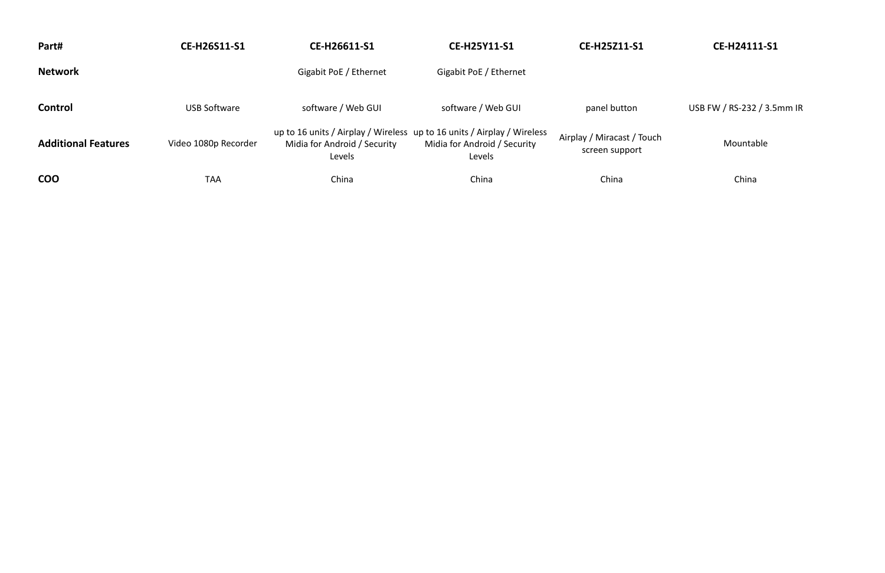| Part#                      | <b>CE-H26S11-S1</b>  | CE-H26611-S1                                                                                                      | <b>CE-H25Y11-S1</b>                    | <b>CE-H25Z11-S1</b>                          | CE-H24111-S1          |
|----------------------------|----------------------|-------------------------------------------------------------------------------------------------------------------|----------------------------------------|----------------------------------------------|-----------------------|
| <b>Network</b>             |                      | Gigabit PoE / Ethernet                                                                                            | Gigabit PoE / Ethernet                 |                                              |                       |
| <b>Control</b>             | <b>USB Software</b>  | software / Web GUI                                                                                                | software / Web GUI                     | panel button                                 | USB FW / RS-232 / 3.5 |
| <b>Additional Features</b> | Video 1080p Recorder | up to 16 units / Airplay / Wireless up to 16 units / Airplay / Wireless<br>Midia for Android / Security<br>Levels | Midia for Android / Security<br>Levels | Airplay / Miracast / Touch<br>screen support | Mountable             |
| <b>COO</b>                 | <b>TAA</b>           | China                                                                                                             | China                                  | China                                        | China                 |

# **USB FW / RS-232 / 3.5mm IR**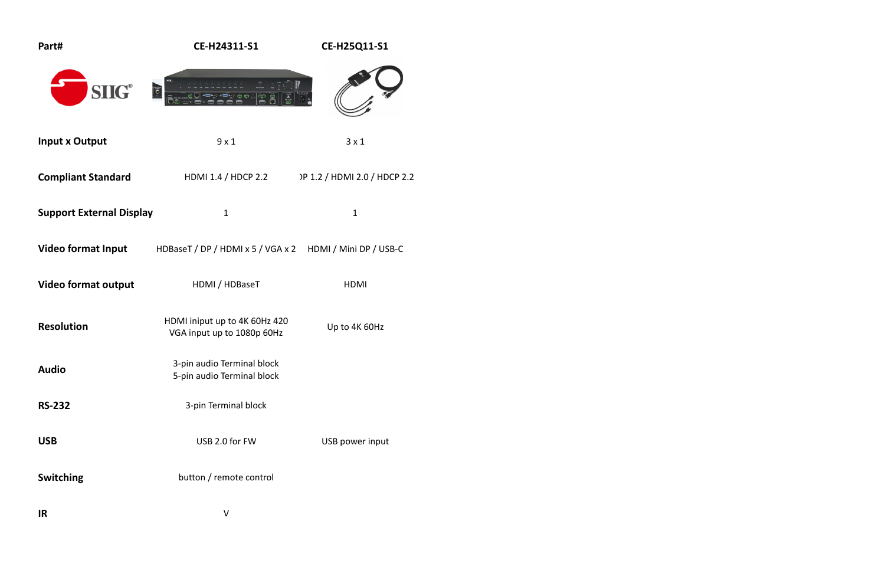| Part#                           | CE-H24311-S1                                                | CE-H25Q11-S1                 |  |
|---------------------------------|-------------------------------------------------------------|------------------------------|--|
| $SIIG^{\circ}$                  | $\boxed{0}$                                                 |                              |  |
| <b>Input x Output</b>           | 9x1                                                         | $3 \times 1$                 |  |
| <b>Compliant Standard</b>       | HDMI 1.4 / HDCP 2.2                                         | JP 1.2 / HDMI 2.0 / HDCP 2.2 |  |
| <b>Support External Display</b> | $\mathbf{1}$                                                | $\mathbf{1}$                 |  |
| <b>Video format Input</b>       | HDBaseT / DP / HDMI x 5 / VGA x 2 HDMI / Mini DP / USB-C    |                              |  |
| <b>Video format output</b>      | HDMI / HDBaseT                                              | <b>HDMI</b>                  |  |
| <b>Resolution</b>               | HDMI iniput up to 4K 60Hz 420<br>VGA input up to 1080p 60Hz | Up to 4K 60Hz                |  |
| <b>Audio</b>                    | 3-pin audio Terminal block<br>5-pin audio Terminal block    |                              |  |
| <b>RS-232</b>                   | 3-pin Terminal block                                        |                              |  |
| <b>USB</b>                      | USB 2.0 for FW                                              | USB power input              |  |
| <b>Switching</b>                | button / remote control                                     |                              |  |
| IR.                             | $\vee$                                                      |                              |  |